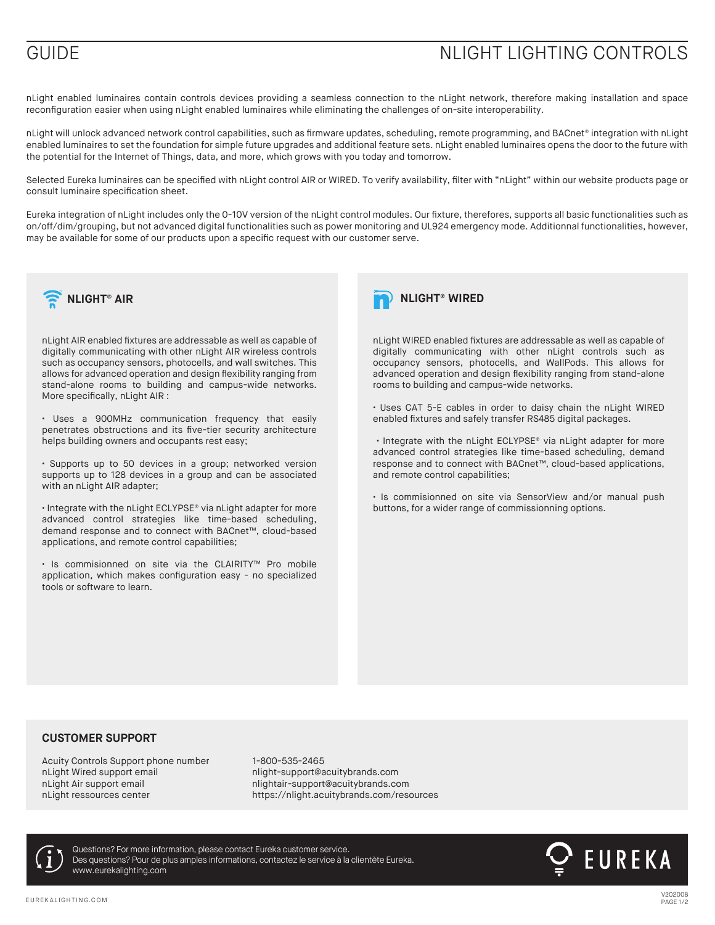## GUIDE GUIDE CONTROLS

nLight enabled luminaires contain controls devices providing a seamless connection to the nLight network, therefore making installation and space reconfiguration easier when using nLight enabled luminaires while eliminating the challenges of on-site interoperability.

nLight will unlock advanced network control capabilities, such as firmware updates, scheduling, remote programming, and BACnet® integration with nLight enabled luminaires to set the foundation for simple future upgrades and additional feature sets. nLight enabled luminaires opens the door to the future with the potential for the Internet of Things, data, and more, which grows with you today and tomorrow.

Selected Eureka luminaires can be specified with nLight control AIR or WIRED. To verify availability, filter with "nLight" within our website products page or consult luminaire specification sheet.

Eureka integration of nLight includes only the 0-10V version of the nLight control modules. Our fixture, therefores, supports all basic functionalities such as on/off/dim/grouping, but not advanced digital functionalities such as power monitoring and UL924 emergency mode. Additionnal functionalities, however, may be available for some of our products upon a specific request with our customer serve.



nLight AIR enabled fixtures are addressable as well as capable of digitally communicating with other nLight AIR wireless controls such as occupancy sensors, photocells, and wall switches. This allows for advanced operation and design flexibility ranging from stand-alone rooms to building and campus-wide networks. More specifically, nLight AIR :

• Uses a 900MHz communication frequency that easily penetrates obstructions and its five-tier security architecture helps building owners and occupants rest easy;

• Supports up to 50 devices in a group; networked version supports up to 128 devices in a group and can be associated with an nLight AIR adapter;

• Integrate with the nLight ECLYPSE® via nLight adapter for more advanced control strategies like time-based scheduling, demand response and to connect with BACnet™, cloud-based applications, and remote control capabilities;

• Is commisionned on site via the CLAIRITY™ Pro mobile application, which makes configuration easy - no specialized tools or software to learn.



nLight WIRED enabled fixtures are addressable as well as capable of digitally communicating with other nLight controls such as occupancy sensors, photocells, and WallPods. This allows for advanced operation and design flexibility ranging from stand-alone rooms to building and campus-wide networks.

• Uses CAT 5-E cables in order to daisy chain the nLight WIRED enabled fixtures and safely transfer RS485 digital packages.

 • Integrate with the nLight ECLYPSE® via nLight adapter for more advanced control strategies like time-based scheduling, demand response and to connect with BACnet™, cloud-based applications, and remote control capabilities;

• Is commisionned on site via SensorView and/or manual push buttons, for a wider range of commissionning options.

### **CUSTOMER SUPPORT**

Acuity Controls Support phone number 1-800-535-2465 nLight Wired support email example in the number of number of number of number of number of number of number o<br>Inight air support email example in the number of number of number of number of number of number of number of nLight ressources center https://nlight.acuitybrands.com/resources

nlightair-support@acuitybrands.com



www.eurekalighting.com Questions? For more information, please contact Eureka customer service. Des questions? Pour de plus amples informations, contactez le service à la clientète Eureka.